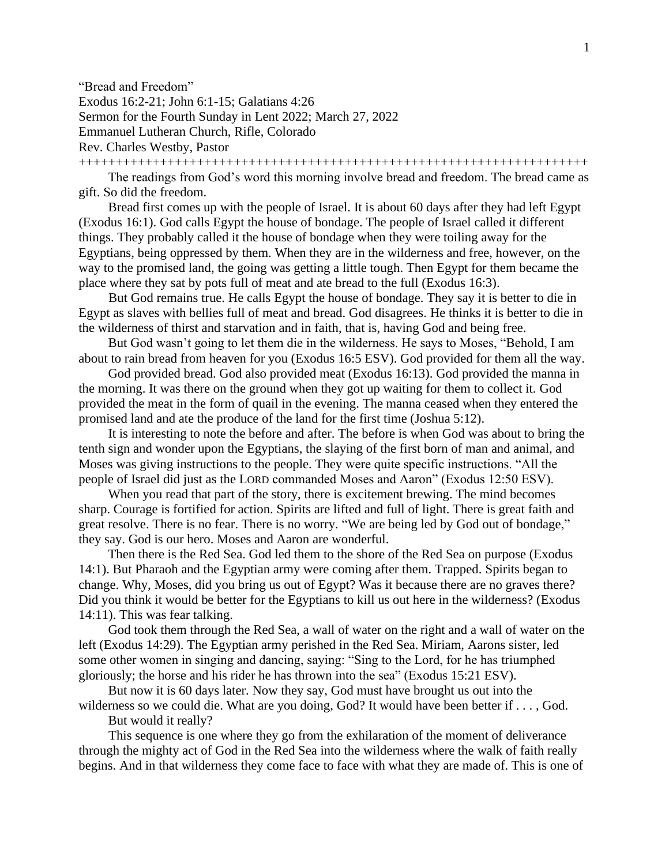"Bread and Freedom" Exodus 16:2-21; John 6:1-15; Galatians 4:26 Sermon for the Fourth Sunday in Lent 2022; March 27, 2022 Emmanuel Lutheran Church, Rifle, Colorado Rev. Charles Westby, Pastor

+++++++++++++++++++++++++++++++++++++++++++++++++++++++++++++++++++++

The readings from God's word this morning involve bread and freedom. The bread came as gift. So did the freedom.

Bread first comes up with the people of Israel. It is about 60 days after they had left Egypt (Exodus 16:1). God calls Egypt the house of bondage. The people of Israel called it different things. They probably called it the house of bondage when they were toiling away for the Egyptians, being oppressed by them. When they are in the wilderness and free, however, on the way to the promised land, the going was getting a little tough. Then Egypt for them became the place where they sat by pots full of meat and ate bread to the full (Exodus 16:3).

But God remains true. He calls Egypt the house of bondage. They say it is better to die in Egypt as slaves with bellies full of meat and bread. God disagrees. He thinks it is better to die in the wilderness of thirst and starvation and in faith, that is, having God and being free.

But God wasn't going to let them die in the wilderness. He says to Moses, "Behold, I am about to rain bread from heaven for you (Exodus 16:5 ESV). God provided for them all the way.

God provided bread. God also provided meat (Exodus 16:13). God provided the manna in the morning. It was there on the ground when they got up waiting for them to collect it. God provided the meat in the form of quail in the evening. The manna ceased when they entered the promised land and ate the produce of the land for the first time (Joshua 5:12).

It is interesting to note the before and after. The before is when God was about to bring the tenth sign and wonder upon the Egyptians, the slaying of the first born of man and animal, and Moses was giving instructions to the people. They were quite specific instructions. "All the people of Israel did just as the LORD commanded Moses and Aaron" (Exodus 12:50 ESV).

When you read that part of the story, there is excitement brewing. The mind becomes sharp. Courage is fortified for action. Spirits are lifted and full of light. There is great faith and great resolve. There is no fear. There is no worry. "We are being led by God out of bondage," they say. God is our hero. Moses and Aaron are wonderful.

Then there is the Red Sea. God led them to the shore of the Red Sea on purpose (Exodus 14:1). But Pharaoh and the Egyptian army were coming after them. Trapped. Spirits began to change. Why, Moses, did you bring us out of Egypt? Was it because there are no graves there? Did you think it would be better for the Egyptians to kill us out here in the wilderness? (Exodus 14:11). This was fear talking.

God took them through the Red Sea, a wall of water on the right and a wall of water on the left (Exodus 14:29). The Egyptian army perished in the Red Sea. Miriam, Aarons sister, led some other women in singing and dancing, saying: "Sing to the Lord, for he has triumphed gloriously; the horse and his rider he has thrown into the sea" (Exodus 15:21 ESV).

But now it is 60 days later. Now they say, God must have brought us out into the wilderness so we could die. What are you doing, God? It would have been better if . . . , God.

But would it really?

This sequence is one where they go from the exhilaration of the moment of deliverance through the mighty act of God in the Red Sea into the wilderness where the walk of faith really begins. And in that wilderness they come face to face with what they are made of. This is one of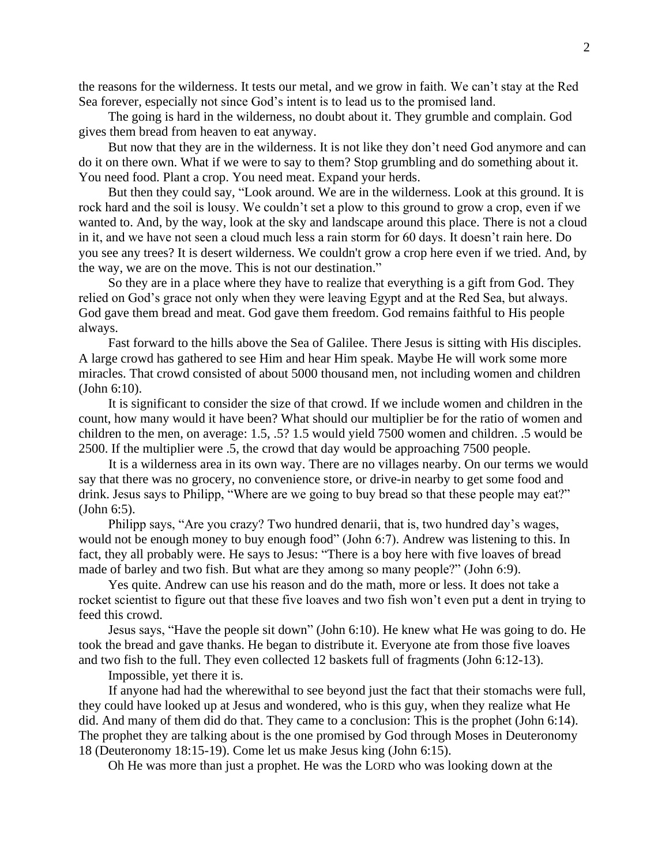the reasons for the wilderness. It tests our metal, and we grow in faith. We can't stay at the Red Sea forever, especially not since God's intent is to lead us to the promised land.

The going is hard in the wilderness, no doubt about it. They grumble and complain. God gives them bread from heaven to eat anyway.

But now that they are in the wilderness. It is not like they don't need God anymore and can do it on there own. What if we were to say to them? Stop grumbling and do something about it. You need food. Plant a crop. You need meat. Expand your herds.

But then they could say, "Look around. We are in the wilderness. Look at this ground. It is rock hard and the soil is lousy. We couldn't set a plow to this ground to grow a crop, even if we wanted to. And, by the way, look at the sky and landscape around this place. There is not a cloud in it, and we have not seen a cloud much less a rain storm for 60 days. It doesn't rain here. Do you see any trees? It is desert wilderness. We couldn't grow a crop here even if we tried. And, by the way, we are on the move. This is not our destination."

So they are in a place where they have to realize that everything is a gift from God. They relied on God's grace not only when they were leaving Egypt and at the Red Sea, but always. God gave them bread and meat. God gave them freedom. God remains faithful to His people always.

Fast forward to the hills above the Sea of Galilee. There Jesus is sitting with His disciples. A large crowd has gathered to see Him and hear Him speak. Maybe He will work some more miracles. That crowd consisted of about 5000 thousand men, not including women and children (John 6:10).

It is significant to consider the size of that crowd. If we include women and children in the count, how many would it have been? What should our multiplier be for the ratio of women and children to the men, on average: 1.5, .5? 1.5 would yield 7500 women and children. .5 would be 2500. If the multiplier were .5, the crowd that day would be approaching 7500 people.

It is a wilderness area in its own way. There are no villages nearby. On our terms we would say that there was no grocery, no convenience store, or drive-in nearby to get some food and drink. Jesus says to Philipp, "Where are we going to buy bread so that these people may eat?" (John 6:5).

Philipp says, "Are you crazy? Two hundred denarii, that is, two hundred day's wages, would not be enough money to buy enough food" (John 6:7). Andrew was listening to this. In fact, they all probably were. He says to Jesus: "There is a boy here with five loaves of bread made of barley and two fish. But what are they among so many people?" (John 6:9).

Yes quite. Andrew can use his reason and do the math, more or less. It does not take a rocket scientist to figure out that these five loaves and two fish won't even put a dent in trying to feed this crowd.

Jesus says, "Have the people sit down" (John 6:10). He knew what He was going to do. He took the bread and gave thanks. He began to distribute it. Everyone ate from those five loaves and two fish to the full. They even collected 12 baskets full of fragments (John 6:12-13).

Impossible, yet there it is.

If anyone had had the wherewithal to see beyond just the fact that their stomachs were full, they could have looked up at Jesus and wondered, who is this guy, when they realize what He did. And many of them did do that. They came to a conclusion: This is the prophet (John 6:14). The prophet they are talking about is the one promised by God through Moses in Deuteronomy 18 (Deuteronomy 18:15-19). Come let us make Jesus king (John 6:15).

Oh He was more than just a prophet. He was the LORD who was looking down at the